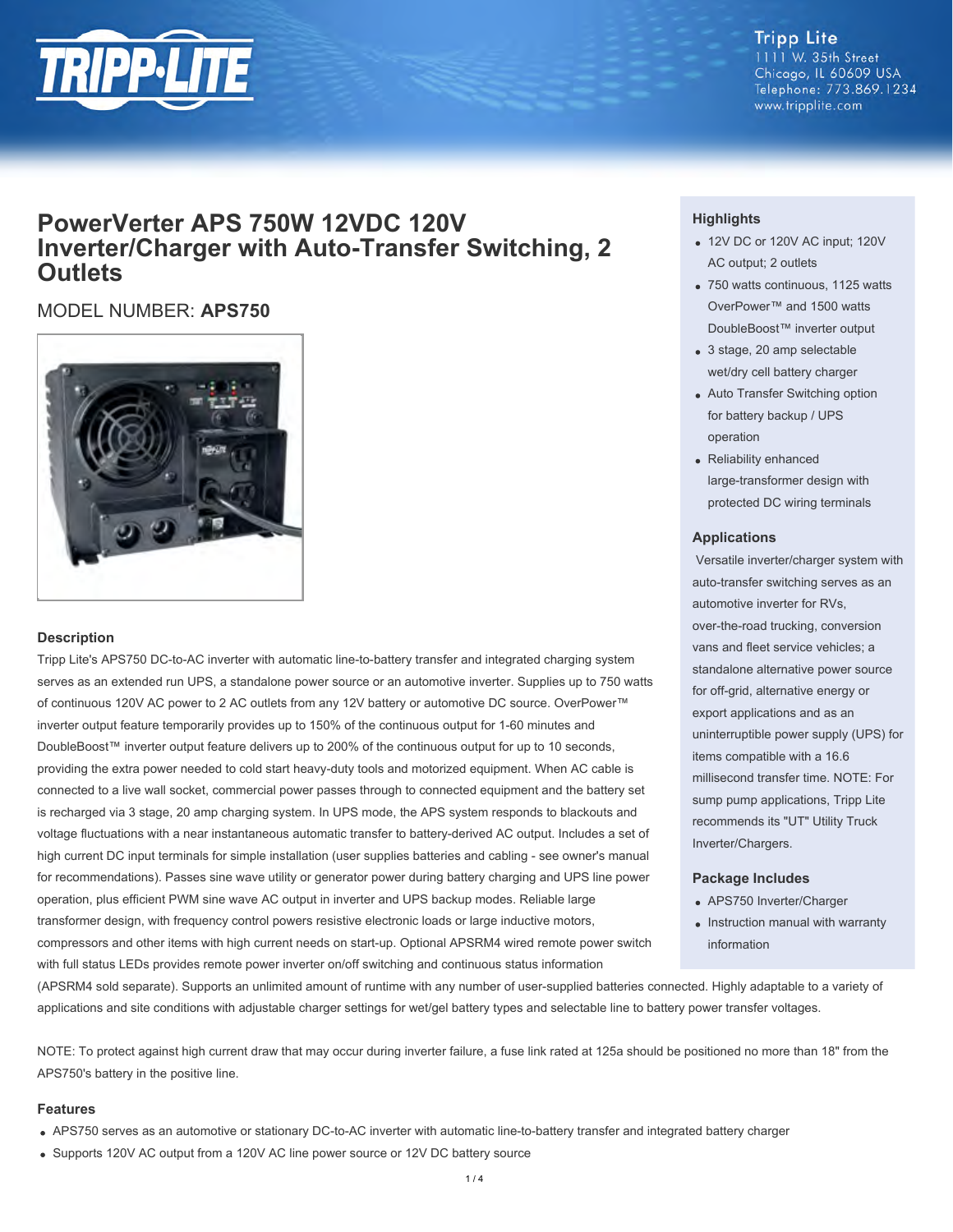

## **Tripp Lite**

1111 W. 35th Street Chicago, IL 60609 USA Telephone: 773.869.1234 www.tripplite.com

### **PowerVerter APS 750W 12VDC 120V Inverter/Charger with Auto-Transfer Switching, 2 Outlets**

MODEL NUMBER: **APS750**



#### **Description**

Tripp Lite's APS750 DC-to-AC inverter with automatic line-to-battery transfer and integrated charging system serves as an extended run UPS, a standalone power source or an automotive inverter. Supplies up to 750 watts of continuous 120V AC power to 2 AC outlets from any 12V battery or automotive DC source. OverPower™ inverter output feature temporarily provides up to 150% of the continuous output for 1-60 minutes and DoubleBoost™ inverter output feature delivers up to 200% of the continuous output for up to 10 seconds, providing the extra power needed to cold start heavy-duty tools and motorized equipment. When AC cable is connected to a live wall socket, commercial power passes through to connected equipment and the battery set is recharged via 3 stage, 20 amp charging system. In UPS mode, the APS system responds to blackouts and voltage fluctuations with a near instantaneous automatic transfer to battery-derived AC output. Includes a set of high current DC input terminals for simple installation (user supplies batteries and cabling - see owner's manual for recommendations). Passes sine wave utility or generator power during battery charging and UPS line power operation, plus efficient PWM sine wave AC output in inverter and UPS backup modes. Reliable large transformer design, with frequency control powers resistive electronic loads or large inductive motors, compressors and other items with high current needs on start-up. Optional APSRM4 wired remote power switch with full status LEDs provides remote power inverter on/off switching and continuous status information

#### **Highlights**

- 12V DC or 120V AC input; 120V AC output; 2 outlets
- 750 watts continuous, 1125 watts OverPower™ and 1500 watts DoubleBoost™ inverter output
- 3 stage, 20 amp selectable wet/dry cell battery charger
- Auto Transfer Switching option for battery backup / UPS operation
- Reliability enhanced large-transformer design with protected DC wiring terminals

#### **Applications**

 Versatile inverter/charger system with auto-transfer switching serves as an automotive inverter for RVs, over-the-road trucking, conversion vans and fleet service vehicles; a standalone alternative power source for off-grid, alternative energy or export applications and as an uninterruptible power supply (UPS) for items compatible with a 16.6 millisecond transfer time. NOTE: For sump pump applications, Tripp Lite recommends its "UT" Utility Truck Inverter/Chargers.

#### **Package Includes**

- APS750 Inverter/Charger
- Instruction manual with warranty information

(APSRM4 sold separate). Supports an unlimited amount of runtime with any number of user-supplied batteries connected. Highly adaptable to a variety of applications and site conditions with adjustable charger settings for wet/gel battery types and selectable line to battery power transfer voltages.

NOTE: To protect against high current draw that may occur during inverter failure, a fuse link rated at 125a should be positioned no more than 18" from the APS750's battery in the positive line.

#### **Features**

- APS750 serves as an automotive or stationary DC-to-AC inverter with automatic line-to-battery transfer and integrated battery charger
- Supports 120V AC output from a 120V AC line power source or 12V DC battery source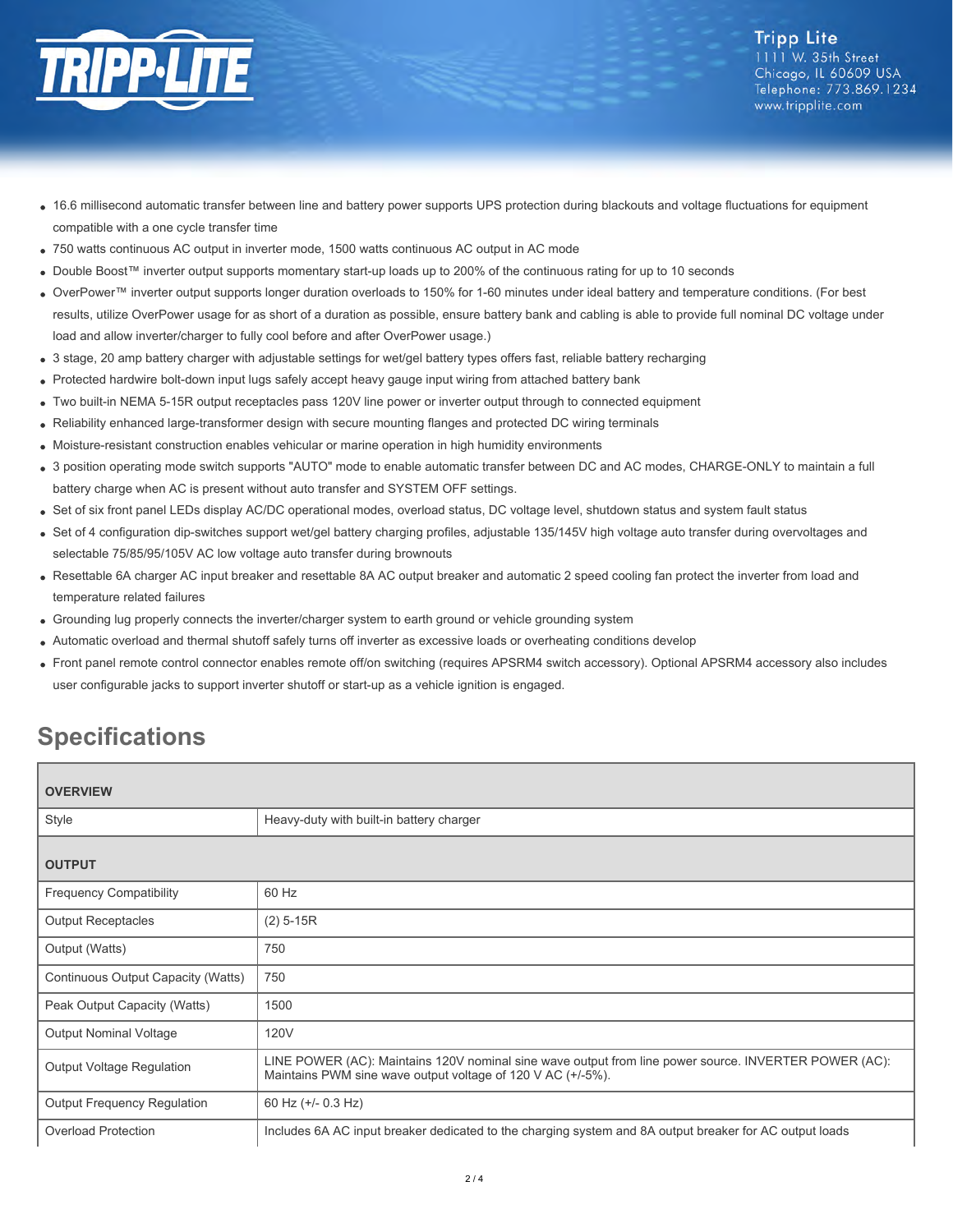

**Tripp Lite** 1111 W. 35th Street Chicago, IL 60609 USA Telephone: 773.869.1234 www.tripplite.com

- 16.6 millisecond automatic transfer between line and battery power supports UPS protection during blackouts and voltage fluctuations for equipment compatible with a one cycle transfer time
- 750 watts continuous AC output in inverter mode, 1500 watts continuous AC output in AC mode
- Double Boost™ inverter output supports momentary start-up loads up to 200% of the continuous rating for up to 10 seconds
- OverPower™ inverter output supports longer duration overloads to 150% for 1-60 minutes under ideal battery and temperature conditions. (For best results, utilize OverPower usage for as short of a duration as possible, ensure battery bank and cabling is able to provide full nominal DC voltage under load and allow inverter/charger to fully cool before and after OverPower usage.)
- 3 stage, 20 amp battery charger with adjustable settings for wet/gel battery types offers fast, reliable battery recharging
- Protected hardwire bolt-down input lugs safely accept heavy gauge input wiring from attached battery bank
- Two built-in NEMA 5-15R output receptacles pass 120V line power or inverter output through to connected equipment
- Reliability enhanced large-transformer design with secure mounting flanges and protected DC wiring terminals
- Moisture-resistant construction enables vehicular or marine operation in high humidity environments  $\bullet$
- 3 position operating mode switch supports "AUTO" mode to enable automatic transfer between DC and AC modes, CHARGE-ONLY to maintain a full battery charge when AC is present without auto transfer and SYSTEM OFF settings.
- Set of six front panel LEDs display AC/DC operational modes, overload status, DC voltage level, shutdown status and system fault status
- Set of 4 configuration dip-switches support wet/gel battery charging profiles, adjustable 135/145V high voltage auto transfer during overvoltages and selectable 75/85/95/105V AC low voltage auto transfer during brownouts
- Resettable 6A charger AC input breaker and resettable 8A AC output breaker and automatic 2 speed cooling fan protect the inverter from load and temperature related failures
- Grounding lug properly connects the inverter/charger system to earth ground or vehicle grounding system
- Automatic overload and thermal shutoff safely turns off inverter as excessive loads or overheating conditions develop
- Front panel remote control connector enables remote off/on switching (requires APSRM4 switch accessory). Optional APSRM4 accessory also includes user configurable jacks to support inverter shutoff or start-up as a vehicle ignition is engaged.

# **Specifications**

| <b>OVERVIEW</b>                    |                                                                                                                                                                      |  |
|------------------------------------|----------------------------------------------------------------------------------------------------------------------------------------------------------------------|--|
| Style                              | Heavy-duty with built-in battery charger                                                                                                                             |  |
| <b>OUTPUT</b>                      |                                                                                                                                                                      |  |
| <b>Frequency Compatibility</b>     | 60 Hz                                                                                                                                                                |  |
| <b>Output Receptacles</b>          | $(2)$ 5-15R                                                                                                                                                          |  |
| Output (Watts)                     | 750                                                                                                                                                                  |  |
| Continuous Output Capacity (Watts) | 750                                                                                                                                                                  |  |
| Peak Output Capacity (Watts)       | 1500                                                                                                                                                                 |  |
| <b>Output Nominal Voltage</b>      | 120V                                                                                                                                                                 |  |
| <b>Output Voltage Regulation</b>   | LINE POWER (AC): Maintains 120V nominal sine wave output from line power source. INVERTER POWER (AC):<br>Maintains PWM sine wave output voltage of 120 V AC (+/-5%). |  |
| <b>Output Frequency Regulation</b> | 60 Hz $(+/- 0.3$ Hz)                                                                                                                                                 |  |
| Overload Protection                | Includes 6A AC input breaker dedicated to the charging system and 8A output breaker for AC output loads                                                              |  |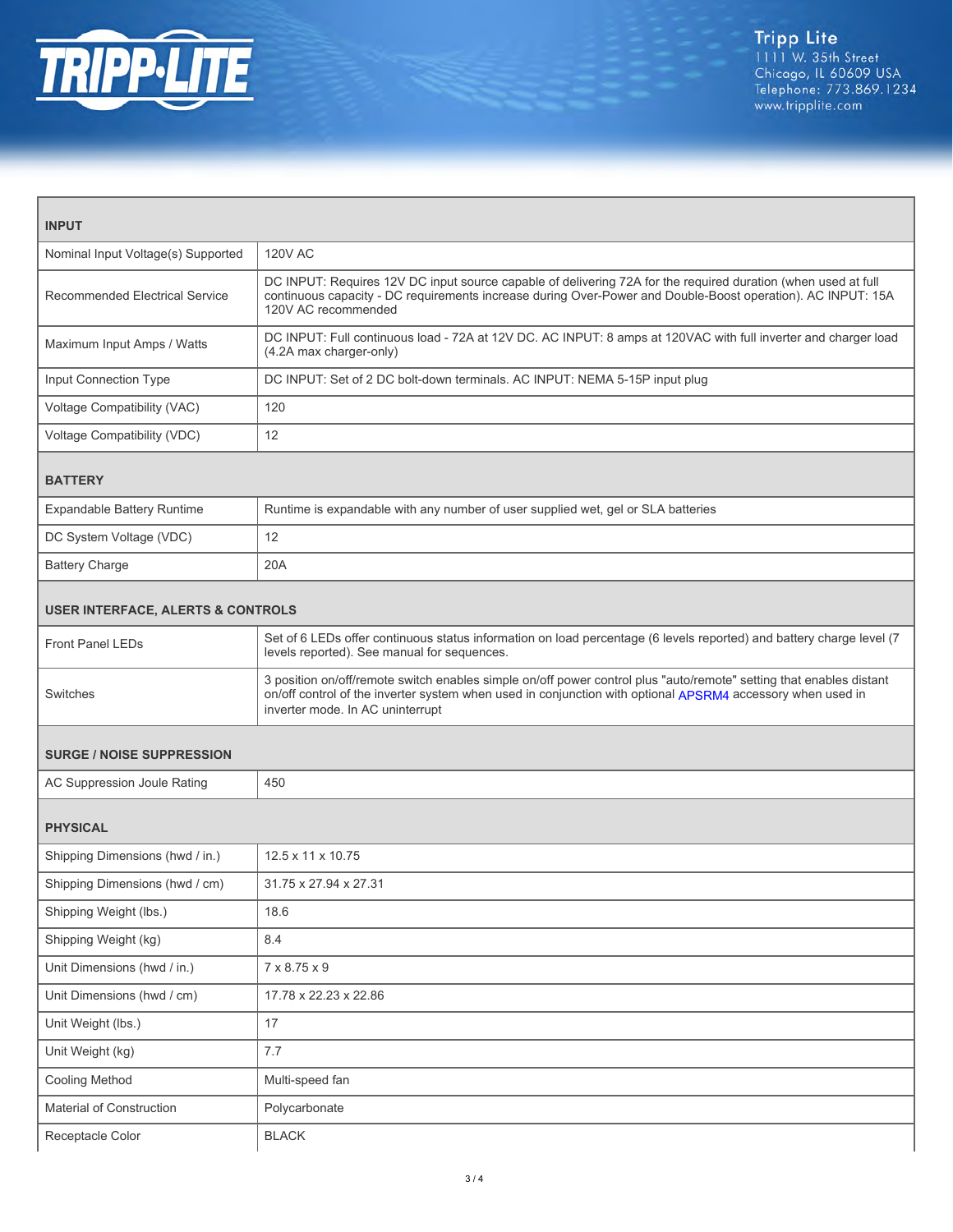

| <b>INPUT</b>                                 |                                                                                                                                                                                                                                                                       |  |
|----------------------------------------------|-----------------------------------------------------------------------------------------------------------------------------------------------------------------------------------------------------------------------------------------------------------------------|--|
| Nominal Input Voltage(s) Supported           | <b>120V AC</b>                                                                                                                                                                                                                                                        |  |
| <b>Recommended Electrical Service</b>        | DC INPUT: Requires 12V DC input source capable of delivering 72A for the required duration (when used at full<br>continuous capacity - DC requirements increase during Over-Power and Double-Boost operation). AC INPUT: 15A<br>120V AC recommended                   |  |
| Maximum Input Amps / Watts                   | DC INPUT: Full continuous load - 72A at 12V DC. AC INPUT: 8 amps at 120VAC with full inverter and charger load<br>(4.2A max charger-only)                                                                                                                             |  |
| Input Connection Type                        | DC INPUT: Set of 2 DC bolt-down terminals. AC INPUT: NEMA 5-15P input plug                                                                                                                                                                                            |  |
| Voltage Compatibility (VAC)                  | 120                                                                                                                                                                                                                                                                   |  |
| Voltage Compatibility (VDC)                  | 12                                                                                                                                                                                                                                                                    |  |
| <b>BATTERY</b>                               |                                                                                                                                                                                                                                                                       |  |
| Expandable Battery Runtime                   | Runtime is expandable with any number of user supplied wet, gel or SLA batteries                                                                                                                                                                                      |  |
| DC System Voltage (VDC)                      | 12                                                                                                                                                                                                                                                                    |  |
| <b>Battery Charge</b>                        | 20A                                                                                                                                                                                                                                                                   |  |
| <b>USER INTERFACE, ALERTS &amp; CONTROLS</b> |                                                                                                                                                                                                                                                                       |  |
| <b>Front Panel LEDs</b>                      | Set of 6 LEDs offer continuous status information on load percentage (6 levels reported) and battery charge level (7<br>levels reported). See manual for sequences.                                                                                                   |  |
| Switches                                     | 3 position on/off/remote switch enables simple on/off power control plus "auto/remote" setting that enables distant<br>on/off control of the inverter system when used in conjunction with optional APSRM4 accessory when used in<br>inverter mode. In AC uninterrupt |  |
| <b>SURGE / NOISE SUPPRESSION</b>             |                                                                                                                                                                                                                                                                       |  |
| AC Suppression Joule Rating                  | 450                                                                                                                                                                                                                                                                   |  |
| <b>PHYSICAL</b>                              |                                                                                                                                                                                                                                                                       |  |
| Shipping Dimensions (hwd / in.)              | 12.5 x 11 x 10.75                                                                                                                                                                                                                                                     |  |
| Shipping Dimensions (hwd / cm)               | 31.75 x 27.94 x 27.31                                                                                                                                                                                                                                                 |  |
| Shipping Weight (lbs.)                       | 18.6                                                                                                                                                                                                                                                                  |  |
| Shipping Weight (kg)                         | 8.4                                                                                                                                                                                                                                                                   |  |
| Unit Dimensions (hwd / in.)                  | 7 x 8.75 x 9                                                                                                                                                                                                                                                          |  |
| Unit Dimensions (hwd / cm)                   | 17.78 x 22.23 x 22.86                                                                                                                                                                                                                                                 |  |
| Unit Weight (lbs.)                           | 17                                                                                                                                                                                                                                                                    |  |
| Unit Weight (kg)                             | 7.7                                                                                                                                                                                                                                                                   |  |
| Cooling Method                               | Multi-speed fan                                                                                                                                                                                                                                                       |  |
| Material of Construction                     | Polycarbonate                                                                                                                                                                                                                                                         |  |
| Receptacle Color                             | <b>BLACK</b>                                                                                                                                                                                                                                                          |  |